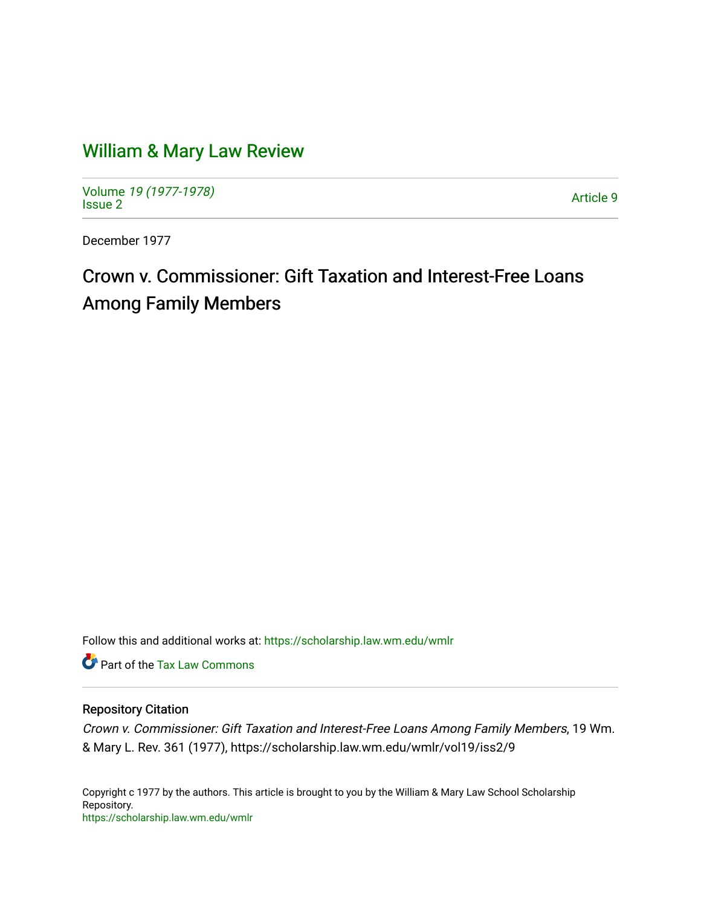# [William & Mary Law Review](https://scholarship.law.wm.edu/wmlr)

Volume [19 \(1977-1978\)](https://scholarship.law.wm.edu/wmlr/vol19)  Notative 19 (1977-1976)<br>[Issue 2](https://scholarship.law.wm.edu/wmlr/vol19/iss2)

December 1977

# Crown v. Commissioner: Gift Taxation and Interest-Free Loans Among Family Members

Follow this and additional works at: [https://scholarship.law.wm.edu/wmlr](https://scholarship.law.wm.edu/wmlr?utm_source=scholarship.law.wm.edu%2Fwmlr%2Fvol19%2Fiss2%2F9&utm_medium=PDF&utm_campaign=PDFCoverPages)

Part of the [Tax Law Commons](http://network.bepress.com/hgg/discipline/898?utm_source=scholarship.law.wm.edu%2Fwmlr%2Fvol19%2Fiss2%2F9&utm_medium=PDF&utm_campaign=PDFCoverPages)

### Repository Citation

Crown v. Commissioner: Gift Taxation and Interest-Free Loans Among Family Members, 19 Wm. & Mary L. Rev. 361 (1977), https://scholarship.law.wm.edu/wmlr/vol19/iss2/9

Copyright c 1977 by the authors. This article is brought to you by the William & Mary Law School Scholarship Repository. <https://scholarship.law.wm.edu/wmlr>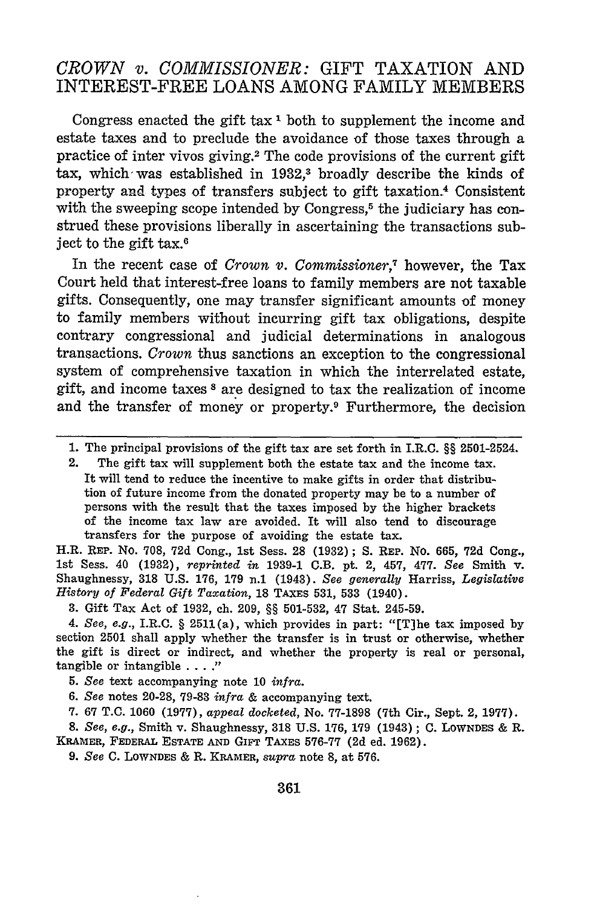## *CROWN v. COMMISSIONER:* GIFT TAXATION **AND** INTEREST-FREE **LOANS AMONG** FAMILY MEMBERS

Congress enacted the gift tax **'** both to supplement the income and estate taxes and to preclude the avoidance of those taxes through a practice of inter vivos giving.<sup>2</sup> The code provisions of the current gift tax, which was established in 1932,<sup>3</sup> broadly describe the kinds of property and types of transfers subject to gift taxation.<sup>4</sup> Consistent with the sweeping scope intended by Congress,<sup>5</sup> the judiciary has construed these provisions liberally in ascertaining the transactions subject to the gift tax.6

In the recent case of *Crown v. Commissioner,7* however, the Tax Court held that interest-free loans to family members are not taxable gifts. Consequently, one may transfer significant amounts of money to family members without incurring gift tax obligations, despite contrary congressional and judicial determinations in analogous transactions. *Crown* thus sanctions an exception to the congressional system of comprehensive taxation in which the interrelated estate, gift, and income taxes **8** are designed to tax the realization of income and the transfer of money or property.9 Furthermore, the decision

H.R. REP. No. 708, **72d** Cong., 1st Sess. **28** (1932); S. **REP.** No. 665, 72d Cong., 1st Sess. 40 (1932), *reprinted in* 1939-1 C.B. pt. 2, 457, 477. *See* Smith **v.** Shaughnessy, **318** U.S. **176,** 179 **n.1** (1943). *See generally* Harriss, *Legislative History of Federal Gift Taxation,* **18 TAXES** 531, **533** (1940).

3. Gift Tax Act of 1932, ch. 209, §§ 501-532, 47 Stat. 245-59.

*4. See, e.g.,* I.R.C. § 2511(a), which provides in part: "[TJhe tax imposed by section 2501 shall apply whether the transfer is in trust or otherwise, whether the gift is direct or indirect, and whether the property is real or personal, tangible or intangible **.... .**

**7. 67** T.C. 1060 (1977), *appeal docketed,* No. 77-1898 (7th Cir., Sept. 2, 1977).

*8. See, e.g.,* Smith v. Shaughnessy, **318** U.S. 176, 179 (1943) ; **C.** LoWNDES & R. **KRAMER, FEDERAL ESTATE AND GiFT TAXES** 576-77 (2d ed. 1962).

9. *See* **C. LOWNDES &** R. **KRAMER,** *supra* note **8,** at **576.**

**<sup>1.</sup>** The principal provisions of the gift tax are set forth in I.R.C. §§ 2501-2524.

<sup>2.</sup> The gift tax will supplement both the estate tax and the income tax. It will tend to reduce the incentive to make gifts in order that distribution of future income from the donated property may be to a number of persons with the result that the taxes imposed by the higher brackets of the income tax law are avoided. It will also tend to discourage transfers for the purpose of avoiding the estate tax.

*<sup>5.</sup> See* text accompanying note 10 *infra.*

*<sup>6.</sup> See* notes 20-28, 79-83 *infra* & accompanying text.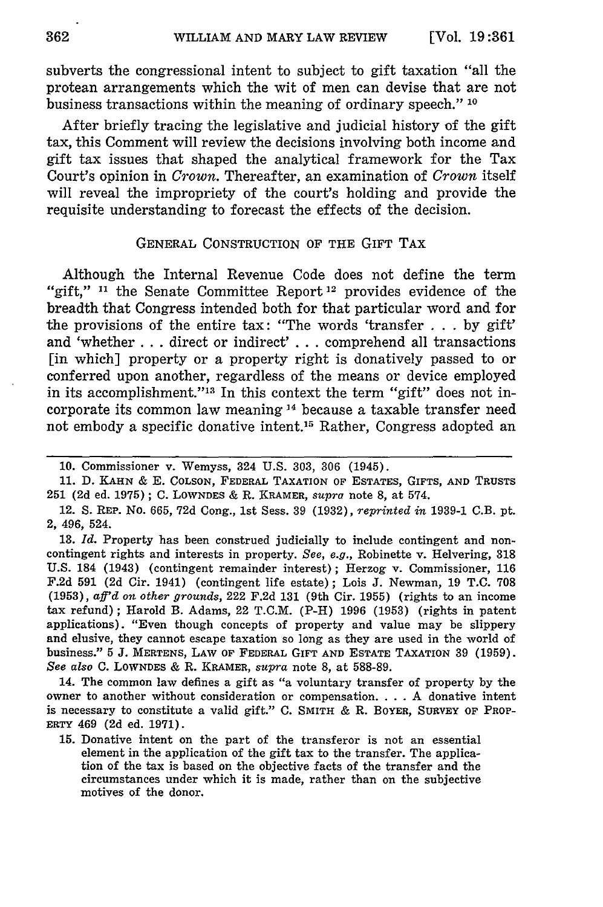subverts the congressional intent to subject to gift taxation "all the protean arrangements which the wit of men can devise that are not business transactions within the meaning of ordinary speech." **10**

After briefly tracing the legislative and judicial history of the gift tax, this Comment will review the decisions involving both income and gift tax issues that shaped the analytical framework for the Tax Court's opinion in *Crown.* Thereafter, an examination of *Crown* itself will reveal the impropriety of the court's holding and provide the requisite understanding to forecast the effects of the decision.

#### GENERAL CONSTRUCTION OF THE GIFT TAX

Although the Internal Revenue Code does not define the term "gift," **n1** the Senate Committee Report 12 provides evidence of the breadth that Congress intended both for that particular word and for the provisions of the entire tax: "The words 'transfer  $\ldots$  by gift' and 'whether ... direct or indirect' . . . comprehend all transactions [in which] property or a property right is donatively passed to or conferred upon another, regardless of the means or device employed in its accomplishment."<sup>13</sup> In this context the term "gift" does not incorporate its common law meaning **14** because a taxable transfer need not embody a specific donative intent.<sup>15</sup> Rather, Congress adopted an

14. The common law defines a gift as "a voluntary transfer of property by the owner to another without consideration or compensation **....** A donative intent is necessary to constitute a valid gift." C. **SMITH &** R. BOYER, SURVEY **OF** PROP-ERTY 469 (2d ed. 1971).

15. Donative intent on the part of the transferor is not an essential element in the application of the gift tax to the transfer. The application of the tax is based on the objective facts of the transfer and the circumstances under which it is made, rather than on the subjective motives of the donor.

<sup>10.</sup> Commissioner v. Wemyss, 324 U.S. 303, 306 (1945).

**<sup>11.</sup>** D. **KAHN** & E. COLSON, FEDERAL TAXATION **OF** ESTATES, GIFTS, **AND TRUSTS 251 (2d** ed. **1975); C. LOWNDES &** R. KRAMER, *supra* note **8,** at 574.

<sup>12.</sup> **S. REP.** No. **665, 72d** Cong., **1st** Sess. **39 (1932),** *reprinted in* **1939-1** C.B. pt. 2, 496, 524.

**<sup>13.</sup>** *Id.* Property has been construed judicially to include contingent and noncontingent rights and interests in property. *See, e.g.,* Robinette v. Helvering, **318 U.S.** 184 (1943) (contingent remainder interest); Herzog v. Commissioner, **116 F.2d 591 (2d** Cir. 1941) (contingent life estate); Lois **J.** Newman, **19 T.C. 708 (1953),** *aff'd on other grounds,* 222 **F.2d 131** (9th Cir. 1955) (rights to an income tax refund); Harold B. Adams, 22 T.C.M. (P-H) 1996 (1953) (rights in patent applications). "Even though concepts of property and value may be slippery and elusive, they cannot escape taxation so long as they are used in the world of business." 5 **J.** MERTENS, LAw **OF FEDERAL** GIFT **AND ESTATE** TAXATION **39 (1959).** *See also* **C. LOWNDES &** R. **KRAMER,** *supra* note **8,** at **588-89.**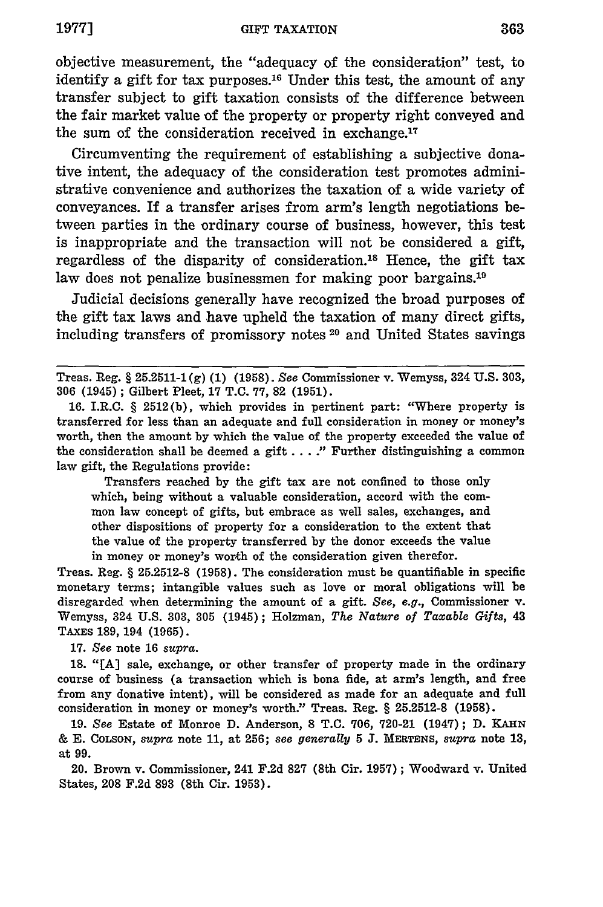**1977]**

objective measurement, the "adequacy of the consideration" test, to identify a gift for tax purposes.<sup>16</sup> Under this test, the amount of any transfer subject to gift taxation consists of the difference between the fair market value of the property or property right conveyed and the sum of the consideration received in exchange. $17$ 

Circumventing the requirement of establishing a subjective donative intent, the adequacy of the consideration test promotes administrative convenience and authorizes the taxation of a wide variety of conveyances. If a transfer arises from arm's length negotiations between parties in the ordinary course of business, however, this test is inappropriate and the transaction will not be considered a gift, regardless of the disparity of consideration.<sup>18</sup> Hence, the gift tax law does not penalize businessmen for making poor bargains.<sup>19</sup>

Judicial decisions generally have recognized the broad purposes of the gift tax laws and have upheld the taxation of many direct gifts, including transfers of promissory notes **20** and United States savings

Transfers reached by the gift tax are not confined to those only which, being without a valuable consideration, accord with the common law concept of gifts, but embrace as well sales, exchanges, and other dispositions of property for a consideration to the extent that the value of the property transferred by the donor exceeds the value in money or money's worth of the consideration given therefor.

Treas. Reg. § 25.2512-8 **(1958).** The consideration must be quantifiable in specific monetary terms; intangible values such as love or moral obligations will be disregarded when determining the amount of a gift. *See, e.g.,* Commissioner v. Wemyss, 324 U.S. 303, **305** (1945); Holzman, *The Nature of Taxable Gifts,* 43 TAXES **189,** 194 (1965).

**17.** *See* note **16** *supra.*

18. "[A] sale, exchange, or other transfer of property made in the ordinary course of business (a transaction which is bona fide, at arm's length, and free from any donative intent), will be considered as made for an adequate and full consideration in money or money's worth." Treas. Reg. § 25.2512-8 **(1958).**

**19.** *See* Estate of Monroe **D.** Anderson, **8 T.C.** 706, 720-21 (1947); **D. KAHN &** E. COLSON, *supra* note **11,** at **256;** *see generally* **5 J. MERTENS,** *supra* note **13,** at 99.

20. Brown v. Commissioner, 241 F.2d **827** (8th Cir. 1957); Woodward v. United States, **208** F.2d **893** (8th Cir. 1953).

Treas. Reg. § **25.2511-1(g) (1)** (1958). See Commissioner v. Wemyss, 324 U.S. 303, **306** (1945) ; Gilbert Pleet, **17** T.C. 77, **82 (1951).**

<sup>16.</sup> I.R.C. § 2512(b), which provides in pertinent part: "Where property is transferred for less than an adequate and full consideration in money or money's worth, then the amount by which the value of the property exceeded the value of the consideration shall be deemed a gift **.... "** Further distinguishing a common law gift, the Regulations provide: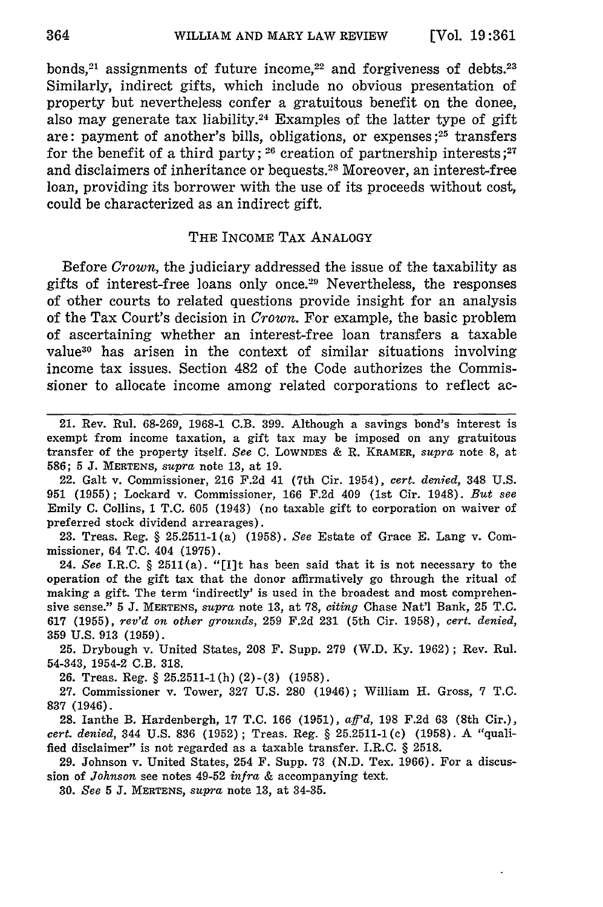bonds,<sup>21</sup> assignments of future income,<sup>22</sup> and forgiveness of debts.<sup>23</sup> Similarly, indirect gifts, which include no obvious presentation of property but nevertheless confer a gratuitous benefit on the donee, also may generate tax liability.<sup>24</sup> Examples of the latter type of gift are: payment of another's bills, obligations, or expenses **;25** transfers for the benefit of a third party; <sup>26</sup> creation of partnership interests;<sup>27</sup> and disclaimers of inheritance or bequests.<sup>28</sup> Moreover, an interest-free loan, providing its borrower with the use of its proceeds without cost, could be characterized as an indirect gift.

#### THE INCOME TAX ANALOGY

Before *Crown,* the judiciary addressed the issue of the taxability as gifts of interest-free loans only once.<sup>29</sup> Nevertheless, the responses of other courts to related questions provide insight for an analysis of the Tax Court's decision in *Crown.* For example, the basic problem of ascertaining whether an interest-free loan transfers a taxable value<sup>30</sup> has arisen in the context of similar situations involving income tax issues. Section 482 of the Code authorizes the Commissioner to allocate income among related corporations to reflect ac-

22. Galt v. Commissioner, 216 F.2d 41 (7th Cir. 1954), *cert. denied,* 348 U.S. **951** (1955); Lockard v. Commissioner, **166** F.2d 409 (1st Cir. 1948). *But see* Emily C. Collins, 1 T.C. 605 (1943) (no taxable gift to corporation on waiver of preferred stock dividend arrearages).

23. Treas. Reg. § 25.2511-1(a) (1958). *See* Estate of Grace E. Lang v. Commissioner, 64 T.C. 404 (1975).

24. *See* I.R.C. § 2511(a). "[lIt has been said that it is not necessary to the operation of the gift tax that the donor affirmatively go through the ritual of making a gift. The term 'indirectly' is used in the broadest and most comprehensive sense." 5 **J. MERTENS,** *supra* note 13, at 78, *citing* Chase Nat'l Bank, **25** T.C. **<sup>617</sup>**(1955), *rev'd on other grounds,* 259 F.2d 231 (5th Cir. 1958), *cert. denied,* **359** U.S. 913 (1959).

25. Drybough v. United States, 208 F. Supp. **279** (W.D. Ky. 1962); Rev. Rul. 54-343, 1954-2 C.B. 318.

26. Treas. Reg. § 25.2511-1(h) (2)-(3) (1958).

27. Commissioner v. Tower, 327 U.S. 280 (1946); William H. Gross, 7 **T.C.** 837 (1946).

28. Ianthe B. Hardenbergh, 17 T.C. 166 (1951), *aff'd,* 198 F.2d 63 (8th Cir.), *cert. denied,* 344 U.S. 836 (1952); Treas. Reg. § 25.2511-1(c) (1958). A "qualified disclaimer" is not regarded as a taxable transfer. I.R.C. § 2518.

29. Johnson v. United States, 254 F. Supp. 73 (N.D. Tex. 1966). For a discussion of *Johnson* see notes 49-52 *infra* & accompanying text.

**30.** *See 5* **J. MERTENS,** *supra* note **13,** at 34-35.

<sup>21.</sup> Rev. Rul. 68-269, 1968-1 C.B. 399. Although a savings bond's interest is exempt from income taxation, a gift tax may be imposed on any gratuitous transfer of the property itself. *See* **C.** LOWNDES **&** R. KRAMER, *supra* note 8, at 586; 5 **J. MERTENS,** *supra* note **13,** at **19.**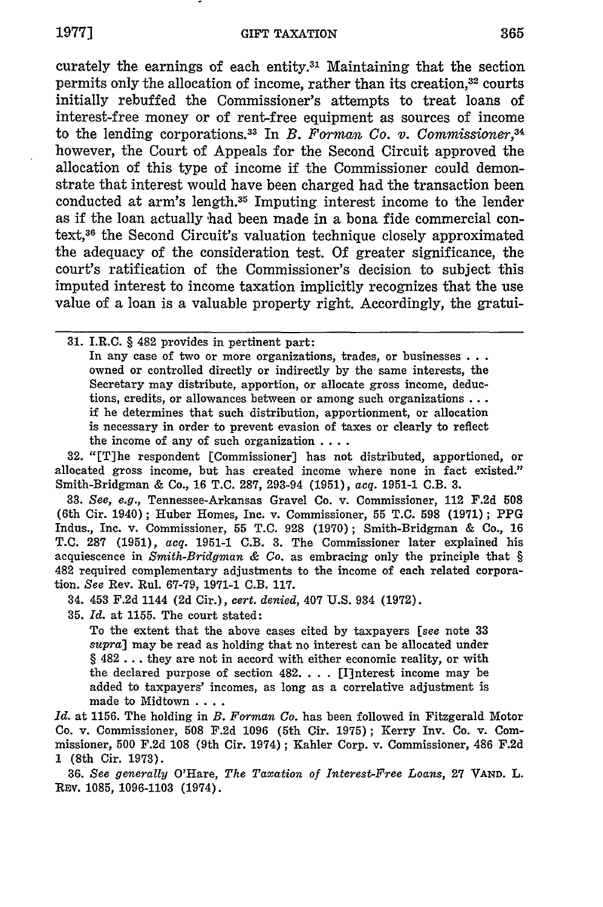curately the earnings of each entity.<sup>31</sup> Maintaining that the section permits only the allocation of income, rather than its creation,<sup>32</sup> courts initially rebuffed the Commissioner's attempts to treat loans of interest-free money or of rent-free equipment as sources of income to the lending corporations.<sup>33</sup> In *B. Forman Co. v. Commissioner*,<sup>34</sup> however, the Court of Appeals for the Second Circuit approved the allocation of this type of income if the Commissioner could demonstrate that interest would have been charged had the transaction been conducted at arm's length.<sup>35</sup> Imputing interest income to the lender as if the loan actually had been made in a bona fide commercial context,3 6 the Second Circuit's valuation technique closely approximated the adequacy of the consideration test. Of greater significance, the court's ratification of the Commissioner's decision to subject this imputed interest to income taxation implicitly recognizes that the use value of a loan is a valuable property right. Accordingly, the gratui-

**31.** I.R.C. § 482 provides in pertinent part: In any case of two or more organizations, trades, or businesses **...** owned or controlled directly or indirectly **by** the same interests, the Secretary may distribute, apportion, or allocate gross income, deductions, credits, or allowances between or among such organizations... if he determines that such distribution, apportionment, or allocation is necessary in order to prevent evasion of taxes or clearly to reflect the income of any of such organization **....**

**32.** "[Tlhe respondent [Commissioner] has not distributed, apportioned, or allocated gross income, but has created income where none in fact existed." Smith-Bridgman **&** Co., **16 T.C. 287,** 293-94 **(1951),** *acq.* **1951-1** C.B. **3.**

**33.** *See, e.g.,* Tennessee-Arkansas Gravel Co. v. Commissioner, 112 **F.2d 508** (6th Cir. 1940); Huber Homes, Inc. v. Commissioner, 55 **T.C. 598 (1971);** PPG Indus., Inc. v. Commissioner, 55 **T.C. 928 (1970);** Smith-Bridgman & Co., **16 T.C. 287 (1951),** *acq.* **1951-1** C.B. **3.** The Commissioner later explained his acquiescence in *Smith-Bridgman & Co.* as embracing only the principle that § 482 required complementary adjustments to the income of each related corporation. *See* Rev. Rul. **67-79, 1971-1** C.B. **117.**

34. 453 **F.2d** 1144 **(2d** Cir.), *cert. denied,* 407 **U.S.** 934 **(1972).**

**35.** *Id.* at **1155.** The court stated:

To the extent that the above cases cited **by** taxpayers *[see* note **<sup>33</sup>** *supra]* may be read as holding that no interest can be allocated under § 482 **...** they are not in accord with either economic reality, or with the declared purpose of section 482 **....** [I]nterest income may be added to taxpayers' incomes, as long as a correlative adjustment is made to Midtown ....

*Id.* at **1156.** The holding in *B. Forman Co.* has been followed in Fitzgerald Motor Co. v. Commissioner, **508 F.2d 1096** (5th Cir. **1975);** Kerry Inv. Co. v. Commissioner, **500 F.2d 108** (9th Cir. 1974); Kahler Corp. v. Commissioner, 486 **F.2d 1** (8th Cir. **1973).**

**36.** *See generally* O'Hare, *The Taxation of Interest-Free Loans,* **27 VAND.** L. REv. **1085,** 1096-1103 (1974).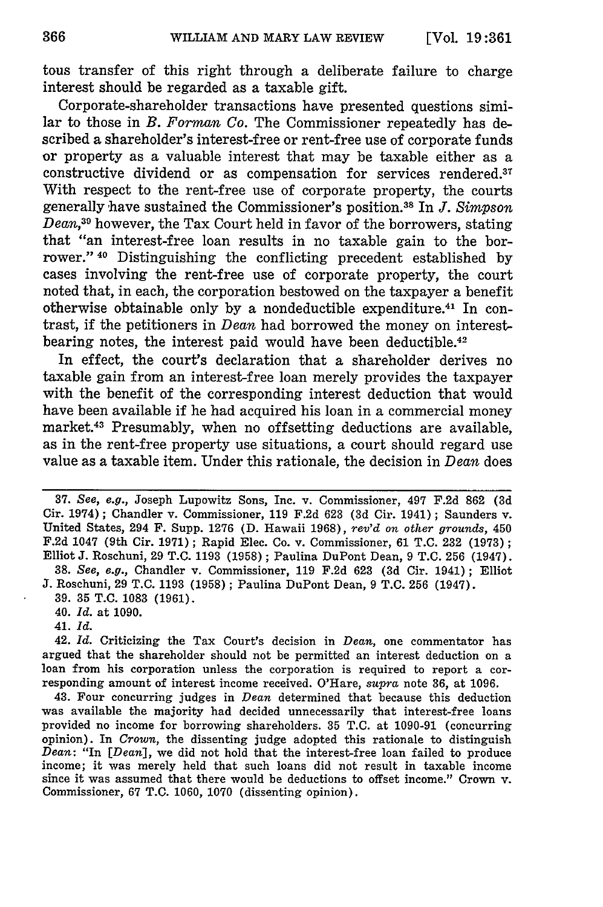tous transfer of this right through a deliberate failure to charge interest should be regarded as a taxable gift.

Corporate-shareholder transactions have presented questions similar to those in *B. Forman Co.* The Commissioner repeatedly has described a shareholder's interest-free or rent-free use of corporate funds or property as a valuable interest that may be taxable either as a constructive dividend or as compensation for services rendered. $37$ With respect to the rent-free use of corporate property, the courts generally have sustained the Commissioner's position.38 In *J. Simpson Dean,30* however, the Tax Court held in favor of the borrowers, stating that "an interest-free loan results in no taxable gain to the borrower."<sup>40</sup> Distinguishing the conflicting precedent established by cases involving the rent-free use of corporate property, the court noted that, in each, the corporation bestowed on the taxpayer a benefit otherwise obtainable only **by** a nondeductible expenditure. 41 In contrast, if the petitioners in *Dean* had borrowed the money on interestbearing notes, the interest paid would have been deductible.<sup>42</sup>

In effect, the court's declaration that a shareholder derives no taxable gain from an interest-free loan merely provides the taxpayer with the benefit of the corresponding interest deduction that would have been available if he had acquired his loan in a commercial money market.43 Presumably, when no offsetting deductions are available, as in the rent-free property use situations, a court should regard use value as a taxable item. Under this rationale, the decision in *Dean* does

**37.** *See, e.g.,* Joseph Lupowitz Sons, Inc. v. Commissioner, 497 **F.2d 862 (3d** Cir. 1974); Chandler v. Commissioner, **119 F.2d 623 (3d** Cir. 1941); Saunders v. United States, 294 F. Supp. **1276 (D.** Hawaii **1968),** *rev'd* on *other grounds,* <sup>450</sup> **F.2d** 1047 (9th Cir. **1971);** Rapid Elec. Co. v. Commissioner, **61 T.C. 232 (1973);** Elliot **J.** Roschuni, **29 T.C. 1193 (1958) ;** Paulina DuPont Dean, **9 T.C. 256** (1947). **38.** *See, e.g.,* Chandler v. Commissioner, **119 F.2d 623 (3d** Cir. 1941); Elliot

**J.** Roschuni, **29 T.C. 1193 (1958) ;** Paulina DuPont Dean, **9 T.C. 256** (1947).

**39. 35 T.C. 1083 (1961).**

40. *Id.* at **1090.**

41. *Id.*

42. *Id.* Criticizing the Tax Court's decision in *Dean,* one commentator has argued that the shareholder should not be permitted an interest deduction on a loan from his corporation unless the corporation is required to report a corresponding amount of interest income received. O'Hare, **supra** note **36,** at **1096.**

43. Four concurring judges in *Dean* determined that because this deduction was available the majority had decided unnecessarily that interest-free loans provided no income for borrowing shareholders. **35 T.C.** at **1090-91** (concurring opinion). In *Crown,* the dissenting judge adopted this rationale to distinguish *Dean:* "In *[Dean],* we did not hold that the interest-free loan failed to produce income; it was merely held that such loans did not result in taxable income since it was assumed that there would be deductions to offset income." Crown v. Commissioner, **67 T.C. 1060, 1070** (dissenting opinion).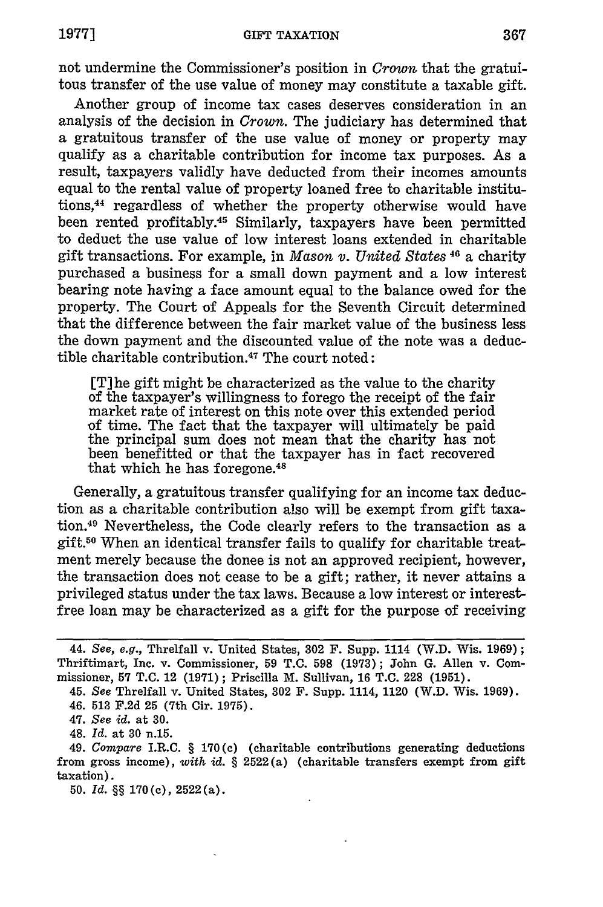not undermine the Commissioner's position in *Crown* that the gratuitous transfer of the use value of money may constitute a taxable gift.

Another group of income tax cases deserves consideration in an analysis of the decision in *Crown.* The judiciary has determined that a gratuitous transfer of the use value of money or property may qualify as a charitable contribution for income tax purposes. As a result, taxpayers validly have deducted from their incomes amounts equal to the rental value of property loaned free to charitable institutions, 44 regardless of whether the property otherwise would have been rented profitably.<sup>45</sup> Similarly, taxpayers have been permitted to deduct the use value of low interest loans extended in charitable gift transactions. For example, in *Mason v. United States* 46 a charity purchased a business for a small down payment and a low interest bearing note having a face amount equal to the balance owed for the property. The Court of Appeals for the Seventh Circuit determined that the difference between the fair market value of the business less the down payment and the discounted value of the note was a deductible charitable contribution.47 The court noted:

[T] he gift might be characterized as the value to the charity of the taxpayer's willingness to forego the receipt of the fair market rate of interest on this note over this extended period of time. The fact that the taxpayer will ultimately be paid the principal sum does not mean that the charity has not been benefitted or that the taxpayer has in fact recovered that which he has foregone.<sup>48</sup>

Generally, a gratuitous transfer qualifying for an income tax deduction as a charitable contribution also will be exempt from gift taxation.49 Nevertheless, the Code clearly refers to the transaction as a gift.50 When an identical transfer fails to qualify for charitable treatment merely because the donee is not an approved recipient, however, the transaction does not cease to be a gift; rather, it never attains a privileged status under the tax laws. Because a low interest or interestfree loan may be characterized as a gift for the purpose of receiving

48. *Id.* at 30 n.15.

**50.** *Id.* §§ **170 (c),** 2522 (a).

<sup>44.</sup> See, *e.g.,* Threlfall v. United States, **302** F. Supp. 1114 (W.D. Wis. 1969); Thriftimart, Inc. v. Commissioner, **59** T.C. 598 (1973); John G. Allen v. Commissioner, **57** T.C. 12 (1971); Priscilla M. Sullivan, 16 T.C. **228** (1951).

<sup>45.</sup> See Threlfall v. United States, **302** F. Supp. 1114, 1120 (W.D. Wis. 1969).

<sup>46. 513</sup> F.2d **25** (7th Cir. 1975).

<sup>47.</sup> *See id.* at **30.**

<sup>49.</sup> *Compare* I.R.C. § **170(c)** (charitable contributions generating deductions from gross income), *with id.* § 2522(a) (charitable transfers exempt from gift taxation).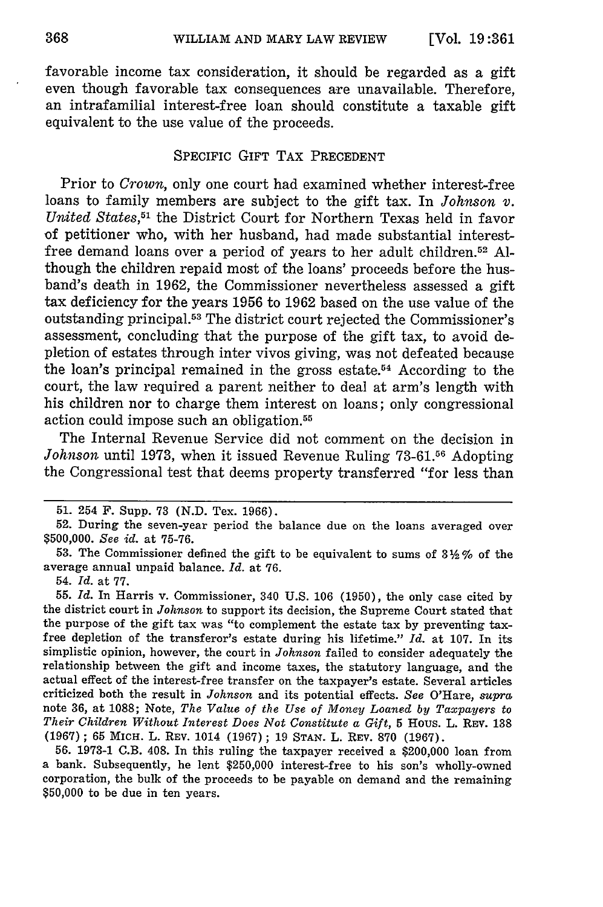favorable income tax consideration, it should be regarded as a gift even though favorable tax consequences are unavailable. Therefore, an intrafamilial interest-free loan should constitute a taxable gift equivalent to the use value of the proceeds.

#### SPECIFIC GIFT TAX PRECEDENT

Prior to *Crown,* only one court had examined whether interest-free loans to family members are subject to the gift tax. In *Johnson v. United States,51* the District Court for Northern Texas held in favor of petitioner who, with her husband, had made substantial interestfree demand loans over a period of years to her adult children. 52 Although the children repaid most of the loans' proceeds before the husband's death in 1962, the Commissioner nevertheless assessed a gift tax deficiency for the years 1956 to 1962 based on the use value of the outstanding principal.<sup>53</sup> The district court rejected the Commissioner's assessment, concluding that the purpose of the gift tax, to avoid depletion of estates through inter vivos giving, was not defeated because the loan's principal remained in the gross estate.<sup>54</sup> According to the court, the law required a parent neither to deal at arm's length with his children nor to charge them interest on loans; only congressional action could impose such an obligation.<sup>55</sup>

The Internal Revenue Service did not comment on the decision in Johnson until 1973, when it issued Revenue Ruling 73-61.<sup>56</sup> Adopting the Congressional test that deems property transferred "for less than

54. *Id.* at 77.

55. *Id.* In Harris v. Commissioner, 340 U.S. 106 (1950), the only case cited by the district court in *Johnson* to support its decision, the Supreme Court stated that the purpose of the gift tax was "to complement the estate tax by preventing taxfree depletion of the transferor's estate during his lifetime." *Id.* at 107. In its simplistic opinion, however, the court in *Johnson* failed to consider adequately the relationship between the gift and income taxes, the statutory language, and the actual effect of the interest-free transfer on the taxpayer's estate. Several articles criticized both the result in *Johnson* and its potential effects. *See* O'Hare, *supra* note 36, at 1088; Note, *The Value of the Use of Money Loaned by Taxpayers* to *Their Children Without Interest Does Not Constitute a Gift,* 5 Hous. L. REV. **<sup>138</sup>** (1967) ; 65 MICH. L. REV. 1014 (1967) ; 19 STAN. L. REV. 870 (1967).

56. 1973-1 C.B. 408. In this ruling the taxpayer received a \$200,000 loan from a bank. Subsequently, he lent \$250,000 interest-free to his son's wholly-owned corporation, the bulk of the proceeds to be payable on demand and the remaining \$50,000 to be due in ten years.

**<sup>51.</sup>** 254 F. Supp. 73 (N.D. Tex. 1966).

<sup>52.</sup> During the seven-year period the balance due on the loans averaged over \$500,000. *See id.* at 75-76.

**<sup>53.</sup>** The Commissioner defined the gift to be equivalent to sums of 3 Y **%** of the average annual unpaid balance. *Id.* at 76.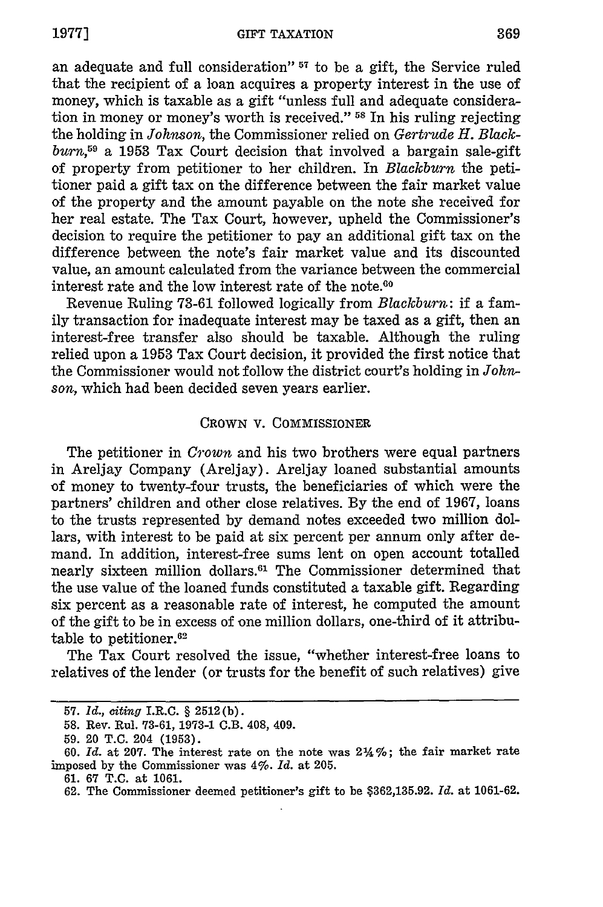an adequate and full consideration" **57** to be a gift, the Service ruled that the recipient of a loan acquires a property interest in the use of money, which is taxable as a gift "unless full and adequate consideration in money or money's worth is received." **-5** In his ruling rejecting the holding in *Johnson,* the Commissioner relied on *Gertrude H. Blackburn,59* a **1953** Tax Court decision that involved a bargain sale-gift of property from petitioner to her children. In *Blackburn* the petitioner paid a gift tax on the difference between the fair market value of the property and the amount payable on the note she received for her real estate. The Tax Court, however, upheld the Commissioner's decision to require the petitioner to pay an additional gift tax on the difference between the note's fair market value and its discounted value, an amount calculated from the variance between the commercial interest rate and the low interest rate of the note.<sup>60</sup>

Revenue Ruling **73-61** followed logically from *Blackburn:* if a family transaction for inadequate interest may be taxed as a gift, then an interest-free transfer also should be taxable. Although the ruling relied upon a **1953** Tax Court decision, it provided the first notice that the Commissioner would not follow the district court's holding in *Johnson,* which had been decided seven years earlier.

#### CROWN **V.** COMMISSIONER

The petitioner in *Crown* and his two brothers were equal partners in Areljay Company (Areljay). Areljay loaned substantial amounts of money to twenty-four trusts, the beneficiaries of which were the partners' children and other close relatives. By the end of 1967, loans to the trusts represented by demand notes exceeded two million dollars, with interest to be paid at six percent per annum only after demand. In addition, interest-free sums lent on open account totalled nearly sixteen million dollars.'1 The Commissioner determined that the use value of the loaned funds constituted a taxable gift. Regarding six percent as a reasonable rate of interest, he computed the amount of the gift to be in excess of one million dollars, one-third of it attributable to petitioner.<sup>62</sup>

The Tax Court resolved the issue, "whether interest-free loans to relatives of the lender (or trusts for the benefit of such relatives) give

**<sup>57.</sup>** *Id., citing* I.R.C. § 2512(b).

<sup>58.</sup> Rev. Rul. 73-61, 1973-1 C.B. 408, 409.

<sup>59. 20</sup> T.C. 204 (1953).

<sup>60.</sup> Id. at 207. The interest rate on the note was  $2\frac{1}{2}\%$ ; the fair market rate imposed by the Commissioner was *4%. Id.* at 205.

<sup>61. 67</sup> T.C. at 1061.

<sup>62.</sup> The Commissioner deemed petitioner's gift to be \$362,135.92. *Id.* at 1061-62.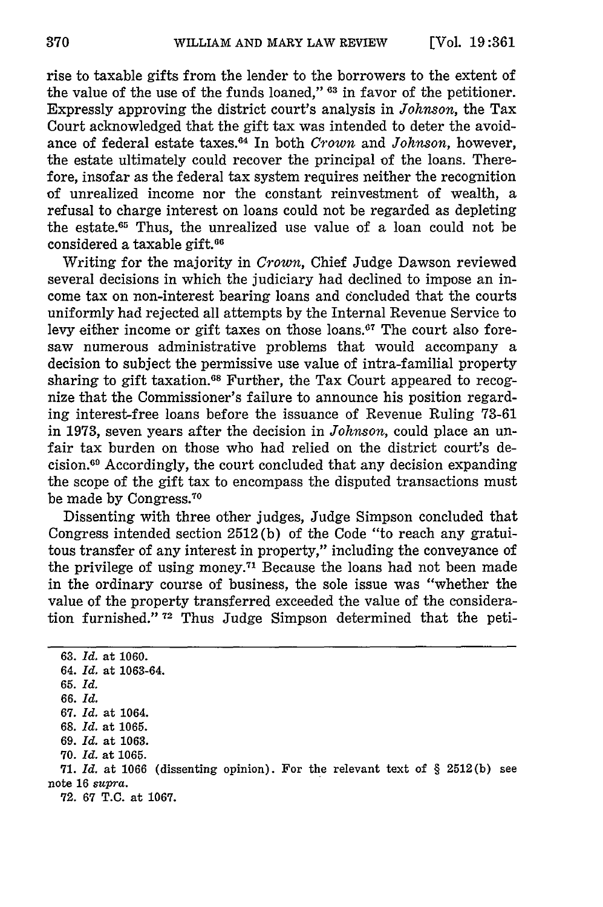rise to taxable gifts from the lender to the borrowers to the extent of the value of the use of the funds loaned," **63** in favor of the petitioner. Expressly approving the district court's analysis in *Johnson,* the Tax Court acknowledged that the gift tax was intended to deter the avoidance of federal estate taxes. 4 In both *Crown* and *Johnson,* however, the estate ultimately could recover the principal of the loans. Therefore, insofar as the federal tax system requires neither the recognition of unrealized income nor the constant reinvestment of wealth, a refusal to charge interest on loans could not be regarded as depleting the estate.<sup>65</sup> Thus, the unrealized use value of a loan could not be considered a taxable gift.66

Writing for the majority in *Crown,* Chief Judge Dawson reviewed several decisions in which the judiciary had declined to impose an income tax on non-interest bearing loans and concluded that the courts uniformly had rejected all attempts by the Internal Revenue Service to levy either income or gift taxes on those loans.<sup>67</sup> The court also foresaw numerous administrative problems that would accompany a decision to subject the permissive use value of intra-familial property sharing to gift taxation.<sup>68</sup> Further, the Tax Court appeared to recognize that the Commissioner's failure to announce his position regarding interest-free loans before the issuance of Revenue Ruling 73-61 in 1973, seven years after the decision in *Johnson,* could place an unfair tax burden on those who had relied on the district court's decision. 9 Accordingly, the court concluded that any decision expanding the scope of the gift tax to encompass the disputed transactions must be made by Congress."0

Dissenting with three other judges, Judge Simpson concluded that Congress intended section 2512 (b) of the Code "to reach any gratuitous transfer of any interest in property," including the conveyance of the privilege of using money.<sup>71</sup> Because the loans had not been made in the ordinary course of business, the sole issue was "whether the value of the property transferred exceeded the value of the consideration furnished." **72** Thus Judge Simpson determined that the peti-

63. *Id.* at 1060. 64. *Id.* at 1063-64. 65. *Id. 66. Id.* 67. *Id.* at 1064. 68. *Id.* at 1065. 69. *Id.* at 1063. **70.** *Id.* at 1065. **71.** *Id.* at 1066 (dissenting opinion). For the relevant text of § 2512(b) see note 16 supra.

**72. 67 T.C.** at 1067.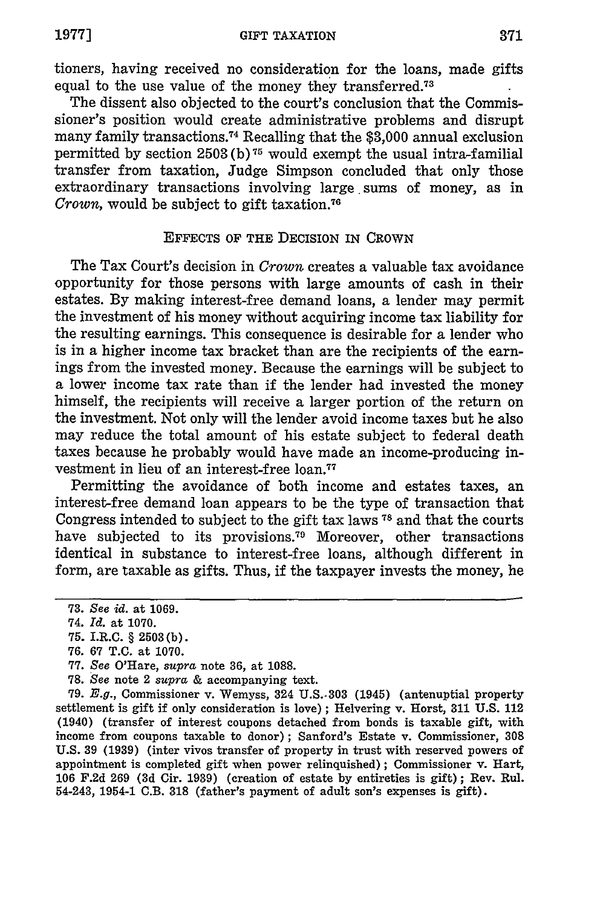tioners, having received no consideration for the loans, made gifts equal to the use value of the money they transferred.<sup>73</sup>

The dissent also objected to the court's conclusion that the Commissioner's position would create administrative problems and disrupt many family transactions. 74 Recalling that the **\$3,000** annual exclusion permitted **by** section **2503 (b) 75** would exempt the usual intra-familial transfer from taxation, Judge Simpson concluded that only those extraordinary transactions involving large sums of money, as in Crown, would be subject to gift taxation.<sup>76</sup>

#### **EFFECTS** OF THE DECISION IN CROWN

The Tax Court's decision in *Crown* creates a valuable tax avoidance opportunity for those persons with large amounts of cash in their estates. **By** making interest-free demand loans, a lender may permit the investment of his money without acquiring income tax liability for the resulting earnings. This consequence is desirable for a lender who is in a higher income tax bracket than are the recipients of the earnings from the invested money. Because the earnings will be subject to a lower income tax rate than if the lender had invested the money himself, the recipients will receive a larger portion of the return on the investment. Not only will the lender avoid income taxes but he also may reduce the total amount of his estate subject to federal death taxes because he probably would have made an income-producing investment in lieu of an interest-free loan.77

Permitting the avoidance of both income and estates taxes, an interest-free demand loan appears to be the type of transaction that Congress intended to subject to the gift tax laws **78** and that the courts have subjected to its provisions.<sup>79</sup> Moreover, other transactions identical in substance to interest-free loans, although different in form, are taxable as gifts. Thus, if the taxpayer invests the money, he

**79.** *E.g.,* Commissioner v. Wemyss, 324 **U.S.-303** (1945) (antenuptial property settlement is gift if only consideration is love) **;** Helvering v. Horst, **311 U.S.** 112 (1940) (transfer of interest coupons detached from bonds is taxable gift, with income from coupons taxable to donor); Sanford's Estate v. Commissioner, **308 U.S. 39 (1939)** (inter vivos transfer of property in trust with reserved powers of appointment is completed gift when power relinquished); Commissioner v. Hart, **106 F.2d 269 (3d** Cir. **1939)** (creation of estate **by** entireties is gift) **;** Rev. Rul. 54-243, 1954-1 C.B. **318** (father's payment of adult son's expenses is gift).

**<sup>73.</sup>** *See id.* at **1069.**

<sup>74.</sup> *Id.* at **1070.**

**<sup>75.</sup>** I.R.C. § **2503 (b).**

**<sup>76. 67</sup> T.C.** at **1070.**

**<sup>77.</sup>** See O'Hare, *supra* note **36,** at **1088.**

**<sup>78.</sup>** *See* note 2 *supra* **&** accompanying text.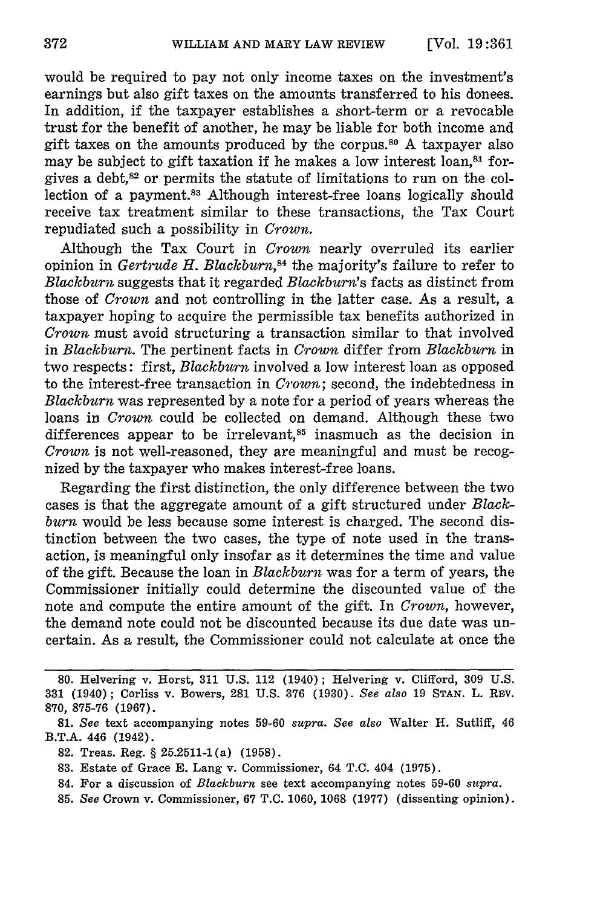would be required to pay not only income taxes on the investment's earnings but also gift taxes on the amounts transferred to his donees. In addition, if the taxpayer establishes a short-term or a revocable trust for the benefit of another, he may be liable for both income and gift taxes on the amounts produced by the corpus.80 A taxpayer also may be subject to gift taxation if he makes a low interest loan, $s<sup>31</sup>$  forgives a debt, $82$  or permits the statute of limitations to run on the collection of a payment.<sup>83</sup> Although interest-free loans logically should receive tax treatment similar to these transactions, the Tax Court repudiated such a possibility in *Crown.*

Although the Tax Court in *Crown* nearly overruled its earlier opinion in *Gertrude H. Blackburn*,<sup>84</sup> the majority's failure to refer to *Blackburn* suggests that it regarded *Blackburn's* facts as distinct from those of *Crown* and not controlling in the latter case. As a result, a taxpayer hoping to acquire the permissible tax benefits authorized in *Crown* must avoid structuring a transaction similar to that involved in *Blackburn.* The pertinent facts in *Crown* differ from *Blackburn* in two respects: first, *Blackburn* involved a low interest loan as opposed to the interest-free transaction in *Crown;* second, the indebtedness in *Blackburn* was represented by a note for a period of years whereas the loans in *Crown* could be collected on demand. Although these two differences appear to be irrelevant,<sup>85</sup> inasmuch as the decision in *Crown* is not well-reasoned, they are meaningful and must be recognized by the taxpayer who makes interest-free loans.

Regarding the first distinction, the only difference between the two cases is that the aggregate amount of a gift structured under *Blackburn* would be less because some interest is charged. The second distinction between the two cases, the type of note used in the transaction, is meaningful only insofar as it determines the time and value of the gift. Because the loan in *Blackburn* was for a term of years, the Commissioner initially could determine the discounted value of the note and compute the entire amount of the gift. In *Crown,* however, the demand note could not be discounted because its due date was uncertain. As a result, the Commissioner could not calculate at once the

<sup>80.</sup> Helvering v. Horst, 311 U.S. 112 (1940); Helvering v. Clifford, 309 U.S. 331 (1940); Corliss v. Bowers, 281 U.S. 376 (1930). *See also* 19 STAN. L. Rv. 870, 875-76 (1967).

<sup>81.</sup> *See* text accompanying notes 59-60 *supra. See also* Walter H. Sutliff, 46 B.T.A. 446 (1942).

<sup>82.</sup> Treas. Reg. § 25.2511-1(a) (1958).

<sup>83.</sup> Estate of Grace E. Lang v. Commissioner, 64 T.C. 404 (1975).

<sup>84.</sup> For a discussion of *Blackburn* see text accompanying notes 59-60 *supra.*

*<sup>85.</sup> See* Crown v. Commissioner, 67 T.C. 1060, 1068 (1977) (dissenting opinion).